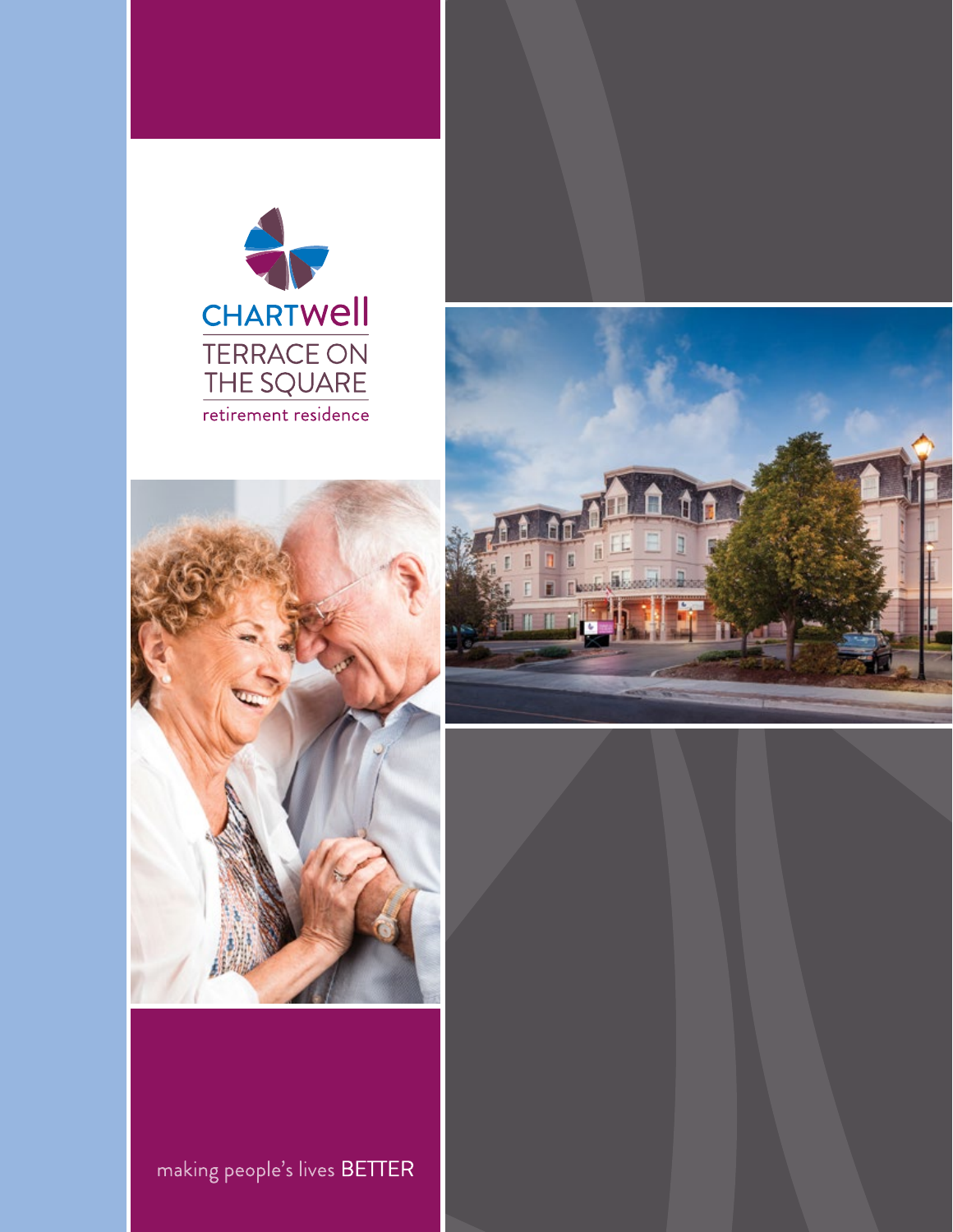





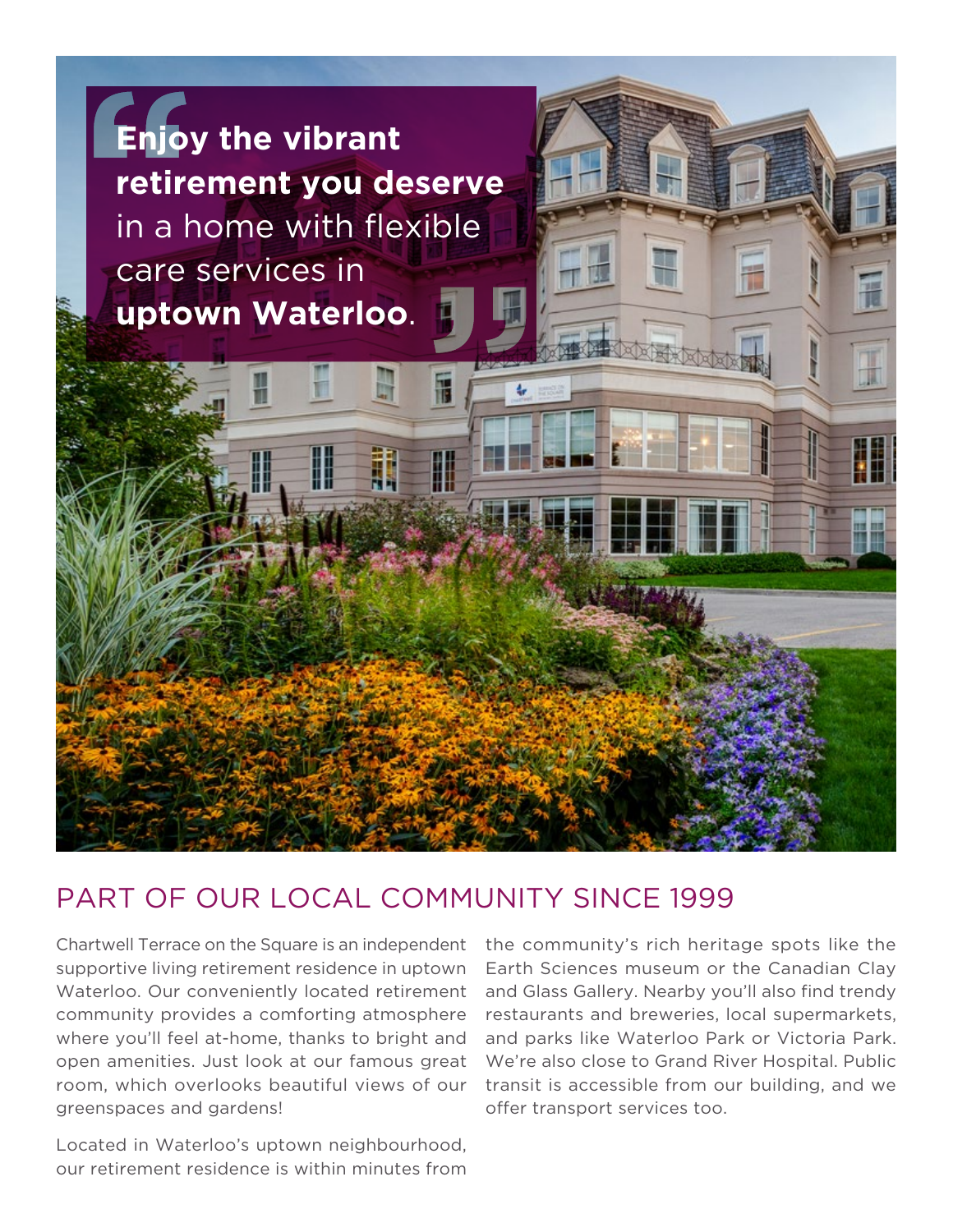

### PART OF OUR LOCAL COMMUNITY SINCE 1999

Chartwell Terrace on the Square is an independent supportive living retirement residence in uptown Waterloo. Our conveniently located retirement community provides a comforting atmosphere where you'll feel at-home, thanks to bright and open amenities. Just look at our famous great room, which overlooks beautiful views of our greenspaces and gardens!

Located in Waterloo's uptown neighbourhood, our retirement residence is within minutes from

the community's rich heritage spots like the Earth Sciences museum or the Canadian Clay and Glass Gallery. Nearby you'll also find trendy restaurants and breweries, local supermarkets, and parks like Waterloo Park or Victoria Park. We're also close to Grand River Hospital. Public transit is accessible from our building, and we offer transport services too.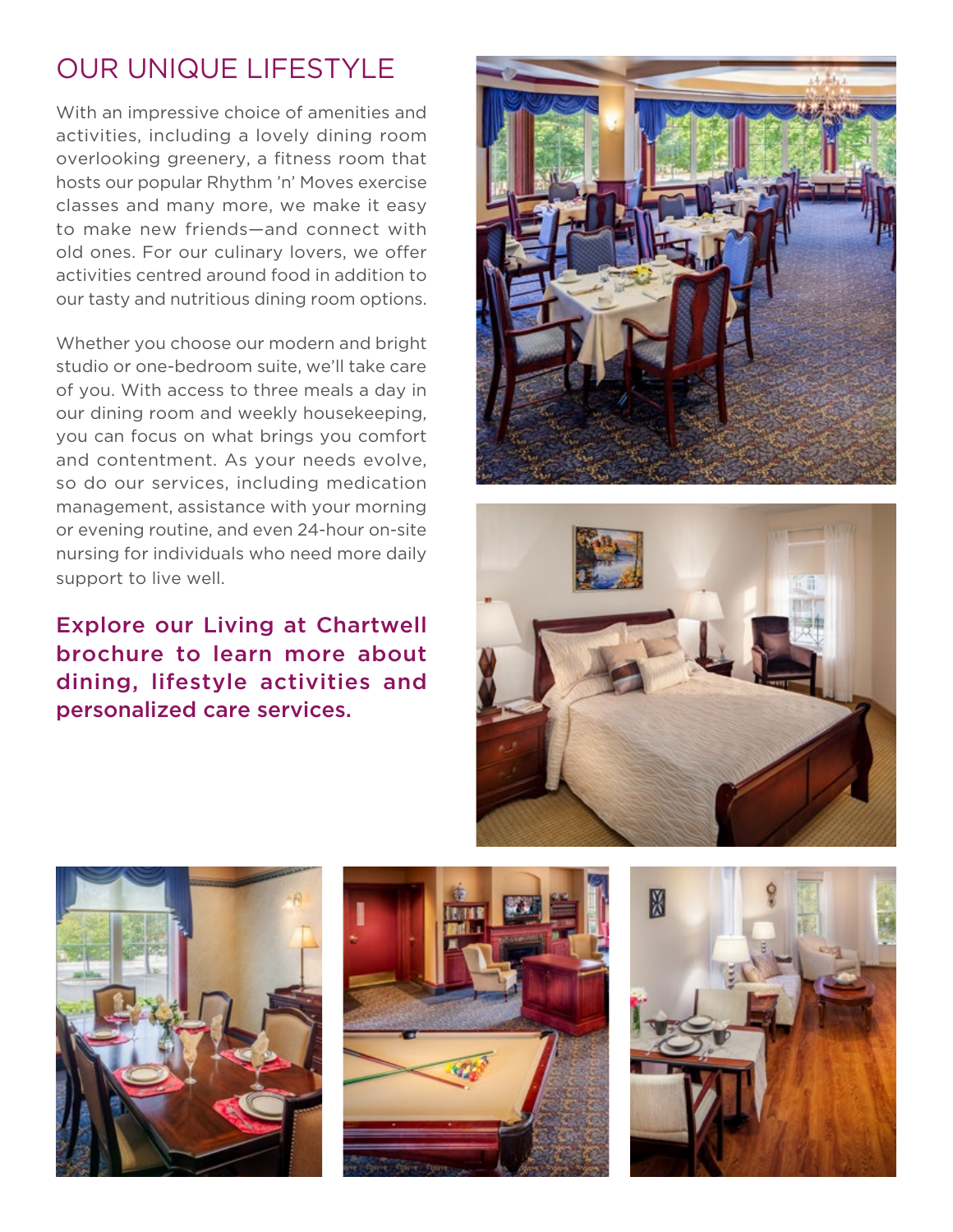## OUR UNIQUE LIFESTYLE

With an impressive choice of amenities and activities, including a lovely dining room overlooking greenery, a fitness room that hosts our popular Rhythm 'n' Moves exercise classes and many more, we make it easy to make new friends—and connect with old ones. For our culinary lovers, we offer activities centred around food in addition to our tasty and nutritious dining room options.

Whether you choose our modern and bright studio or one-bedroom suite, we'll take care of you. With access to three meals a day in our dining room and weekly housekeeping, you can focus on what brings you comfort and contentment. As your needs evolve, so do our services, including medication management, assistance with your morning or evening routine, and even 24-hour on-site nursing for individuals who need more daily support to live well.

### Explore our Living at Chartwell brochure to learn more about dining, lifestyle activities and personalized care services.









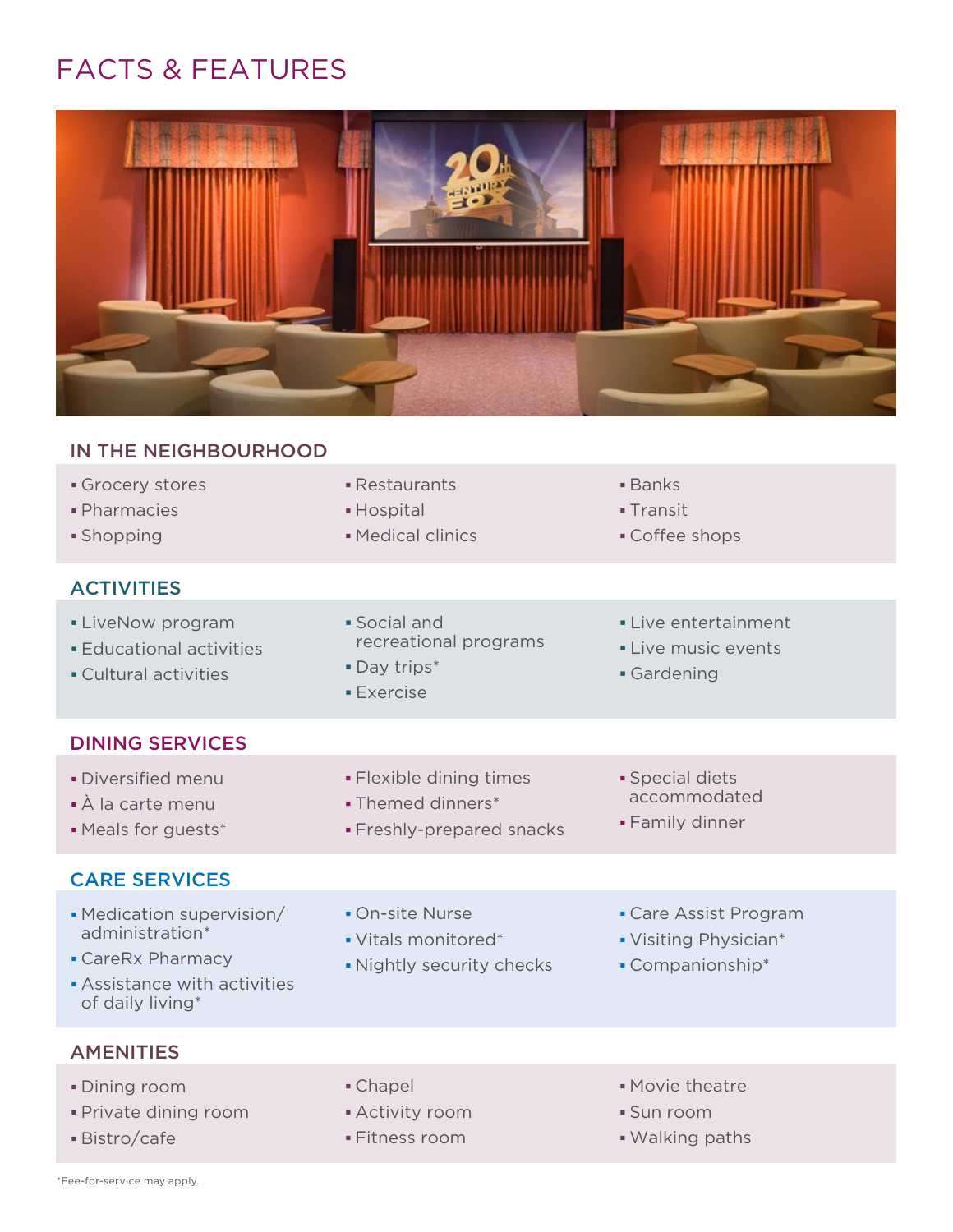# FACTS & FEATURES



| IN THE NEIGHBOURHOOD                                                                                                |                                                                           |                                                                    |
|---------------------------------------------------------------------------------------------------------------------|---------------------------------------------------------------------------|--------------------------------------------------------------------|
| Grocery stores<br>· Pharmacies<br>· Shopping                                                                        | • Restaurants<br>• Hospital<br>· Medical clinics                          | $\blacksquare$ Banks<br>• Transit<br>• Coffee shops                |
| <b>ACTIVITIES</b>                                                                                                   |                                                                           |                                                                    |
| • LiveNow program<br><b>Educational activities</b><br>• Cultural activities                                         | · Social and<br>recreational programs<br>• Day trips*<br><b>Exercise</b>  | • Live entertainment<br>• Live music events<br>· Gardening         |
| <b>DINING SERVICES</b>                                                                                              |                                                                           |                                                                    |
| · Diversified menu<br>• À la carte menu<br>• Meals for guests*                                                      | · Flexible dining times<br>• Themed dinners*<br>· Freshly-prepared snacks | · Special diets<br>accommodated<br>- Family dinner                 |
| <b>CARE SERVICES</b>                                                                                                |                                                                           |                                                                    |
| • Medication supervision/<br>administration*<br>• CareRx Pharmacy<br>Assistance with activities<br>of daily living* | • On-site Nurse<br>• Vitals monitored*<br>. Nightly security checks       | • Care Assist Program<br>• Visiting Physician*<br>• Companionship* |
| <b>AMENITIES</b>                                                                                                    |                                                                           |                                                                    |
| · Dining room<br>· Private dining room<br>· Bistro/cafe                                                             | • Chapel<br>• Activity room<br>· Fitness room                             | · Movie theatre<br>• Sun room<br>. Walking paths                   |